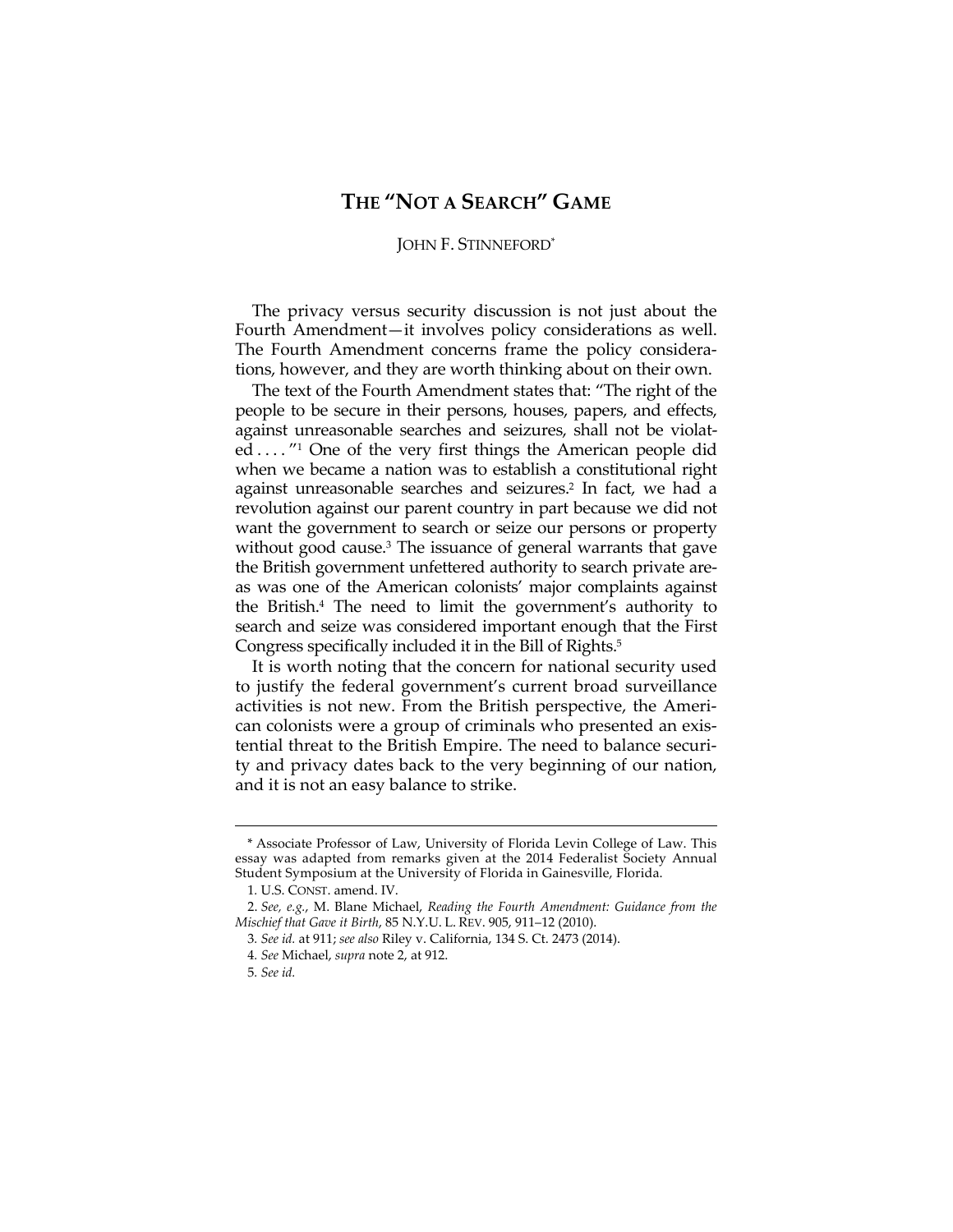## **THE "NOT A SEARCH" GAME**

## JOHN F. STINNEFORD\*

The privacy versus security discussion is not just about the Fourth Amendment—it involves policy considerations as well. The Fourth Amendment concerns frame the policy considerations, however, and they are worth thinking about on their own.

The text of the Fourth Amendment states that: "The right of the people to be secure in their persons, houses, papers, and effects, against unreasonable searches and seizures, shall not be violated ...."<sup>1</sup> One of the very first things the American people did when we became a nation was to establish a constitutional right against unreasonable searches and seizures.2 In fact, we had a revolution against our parent country in part because we did not want the government to search or seize our persons or property without good cause.<sup>3</sup> The issuance of general warrants that gave the British government unfettered authority to search private areas was one of the American colonists' major complaints against the British.4 The need to limit the government's authority to search and seize was considered important enough that the First Congress specifically included it in the Bill of Rights.5

It is worth noting that the concern for national security used to justify the federal government's current broad surveillance activities is not new. From the British perspective, the American colonists were a group of criminals who presented an existential threat to the British Empire. The need to balance security and privacy dates back to the very beginning of our nation, and it is not an easy balance to strike.

<sup>\*</sup> Associate Professor of Law, University of Florida Levin College of Law. This essay was adapted from remarks given at the 2014 Federalist Society Annual Student Symposium at the University of Florida in Gainesville, Florida.

<sup>1</sup>*.* U.S. CONST. amend. IV.

 <sup>2.</sup> *See, e.g.*, M. Blane Michael, *Reading the Fourth Amendment: Guidance from the Mischief that Gave it Birth*, 85 N.Y.U. L. REV. 905, 911–12 (2010).

<sup>3</sup>*. See id.* at 911; *see also* Riley v. California, 134 S. Ct. 2473 (2014).

<sup>4</sup>*. See* Michael, *supra* note 2, at 912.

<sup>5</sup>*. See id.*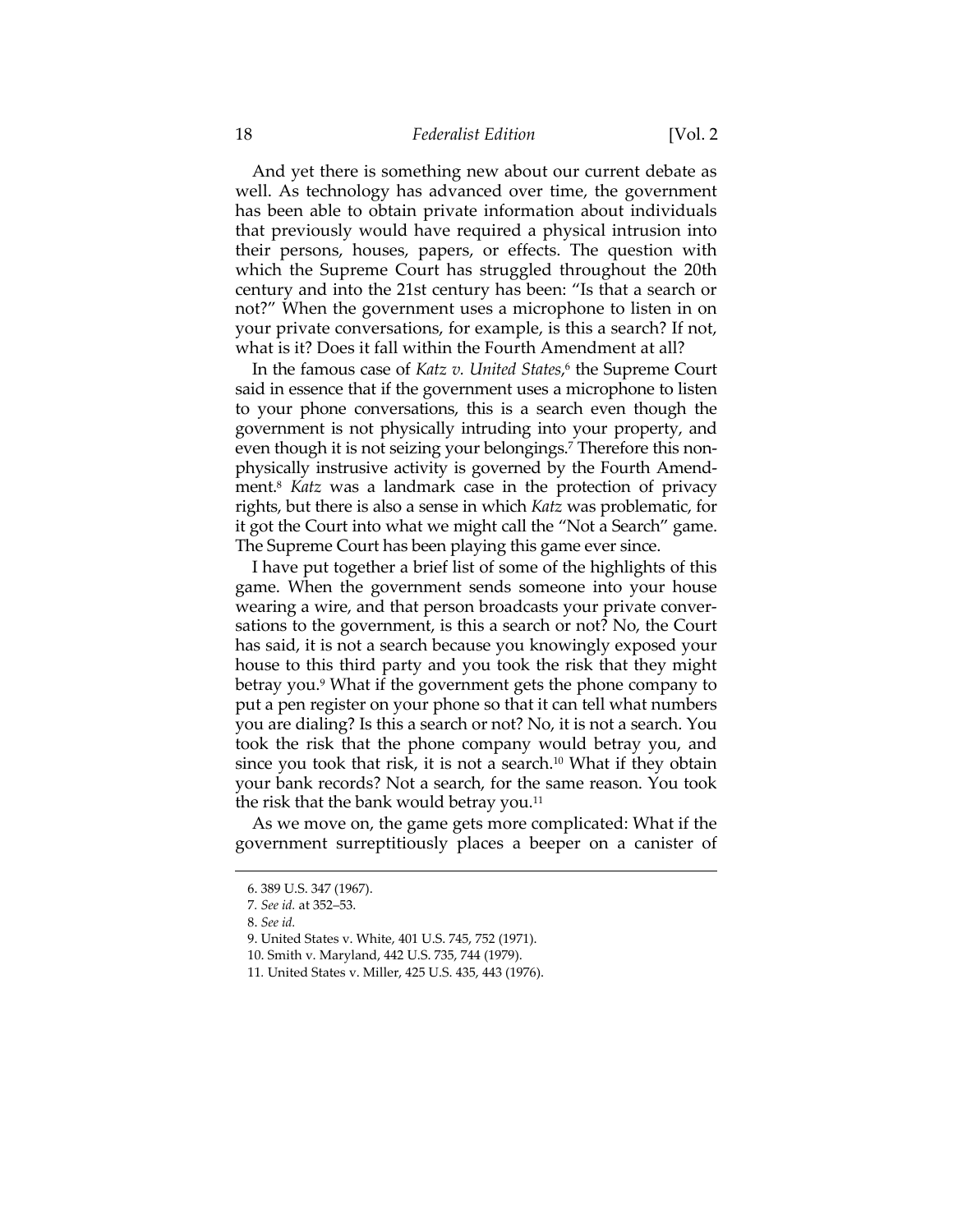## 18 *Federalist Edition* [Vol. 2

And yet there is something new about our current debate as well. As technology has advanced over time, the government has been able to obtain private information about individuals that previously would have required a physical intrusion into their persons, houses, papers, or effects. The question with which the Supreme Court has struggled throughout the 20th century and into the 21st century has been: "Is that a search or not?" When the government uses a microphone to listen in on your private conversations, for example, is this a search? If not, what is it? Does it fall within the Fourth Amendment at all?

In the famous case of *Katz v. United States*, 6 the Supreme Court said in essence that if the government uses a microphone to listen to your phone conversations, this is a search even though the government is not physically intruding into your property, and even though it is not seizing your belongings.7 Therefore this nonphysically instrusive activity is governed by the Fourth Amendment.8 *Katz* was a landmark case in the protection of privacy rights, but there is also a sense in which *Katz* was problematic, for it got the Court into what we might call the "Not a Search" game. The Supreme Court has been playing this game ever since.

I have put together a brief list of some of the highlights of this game. When the government sends someone into your house wearing a wire, and that person broadcasts your private conversations to the government, is this a search or not? No, the Court has said, it is not a search because you knowingly exposed your house to this third party and you took the risk that they might betray you.<sup>9</sup> What if the government gets the phone company to put a pen register on your phone so that it can tell what numbers you are dialing? Is this a search or not? No, it is not a search. You took the risk that the phone company would betray you, and since you took that risk, it is not a search.10 What if they obtain your bank records? Not a search, for the same reason. You took the risk that the bank would betray you.<sup>11</sup>

As we move on, the game gets more complicated: What if the government surreptitiously places a beeper on a canister of

<sup>6. 389</sup> U.S. 347 (1967).

<sup>7</sup>*. See id.* at 352–53.

 <sup>8.</sup> *See id.*

 <sup>9.</sup> United States v. White, 401 U.S. 745, 752 (1971).

 <sup>10.</sup> Smith v. Maryland, 442 U.S. 735, 744 (1979).

<sup>11</sup>*.* United States v. Miller, 425 U.S. 435, 443 (1976).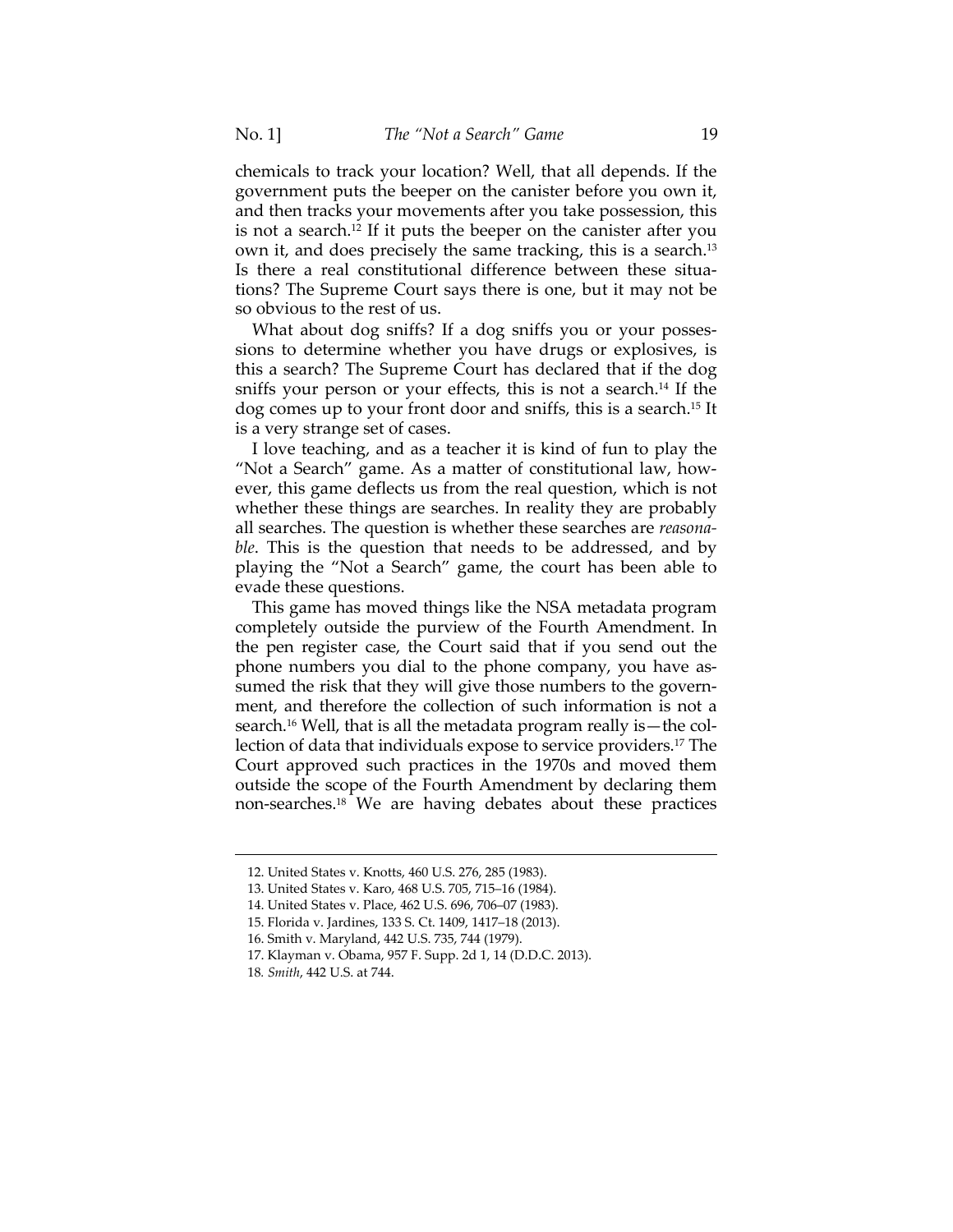chemicals to track your location? Well, that all depends. If the government puts the beeper on the canister before you own it, and then tracks your movements after you take possession, this is not a search.12 If it puts the beeper on the canister after you own it, and does precisely the same tracking, this is a search.13 Is there a real constitutional difference between these situations? The Supreme Court says there is one, but it may not be so obvious to the rest of us.

What about dog sniffs? If a dog sniffs you or your possessions to determine whether you have drugs or explosives, is this a search? The Supreme Court has declared that if the dog sniffs your person or your effects, this is not a search.<sup>14</sup> If the dog comes up to your front door and sniffs, this is a search.15 It is a very strange set of cases.

I love teaching, and as a teacher it is kind of fun to play the "Not a Search" game. As a matter of constitutional law, however, this game deflects us from the real question, which is not whether these things are searches. In reality they are probably all searches. The question is whether these searches are *reasonable*. This is the question that needs to be addressed, and by playing the "Not a Search" game, the court has been able to evade these questions.

This game has moved things like the NSA metadata program completely outside the purview of the Fourth Amendment. In the pen register case, the Court said that if you send out the phone numbers you dial to the phone company, you have assumed the risk that they will give those numbers to the government, and therefore the collection of such information is not a search.16 Well, that is all the metadata program really is—the collection of data that individuals expose to service providers.17 The Court approved such practices in the 1970s and moved them outside the scope of the Fourth Amendment by declaring them non-searches.18 We are having debates about these practices

<sup>12.</sup> United States v. Knotts, 460 U.S. 276, 285 (1983).

 <sup>13.</sup> United States v. Karo, 468 U.S. 705, 715–16 (1984).

 <sup>14.</sup> United States v. Place, 462 U.S. 696, 706–07 (1983).

 <sup>15.</sup> Florida v. Jardines, 133 S. Ct. 1409, 1417–18 (2013).

 <sup>16.</sup> Smith v. Maryland, 442 U.S. 735, 744 (1979).

 <sup>17.</sup> Klayman v. Obama, 957 F. Supp. 2d 1, 14 (D.D.C. 2013).

<sup>18</sup>*. Smith*, 442 U.S. at 744.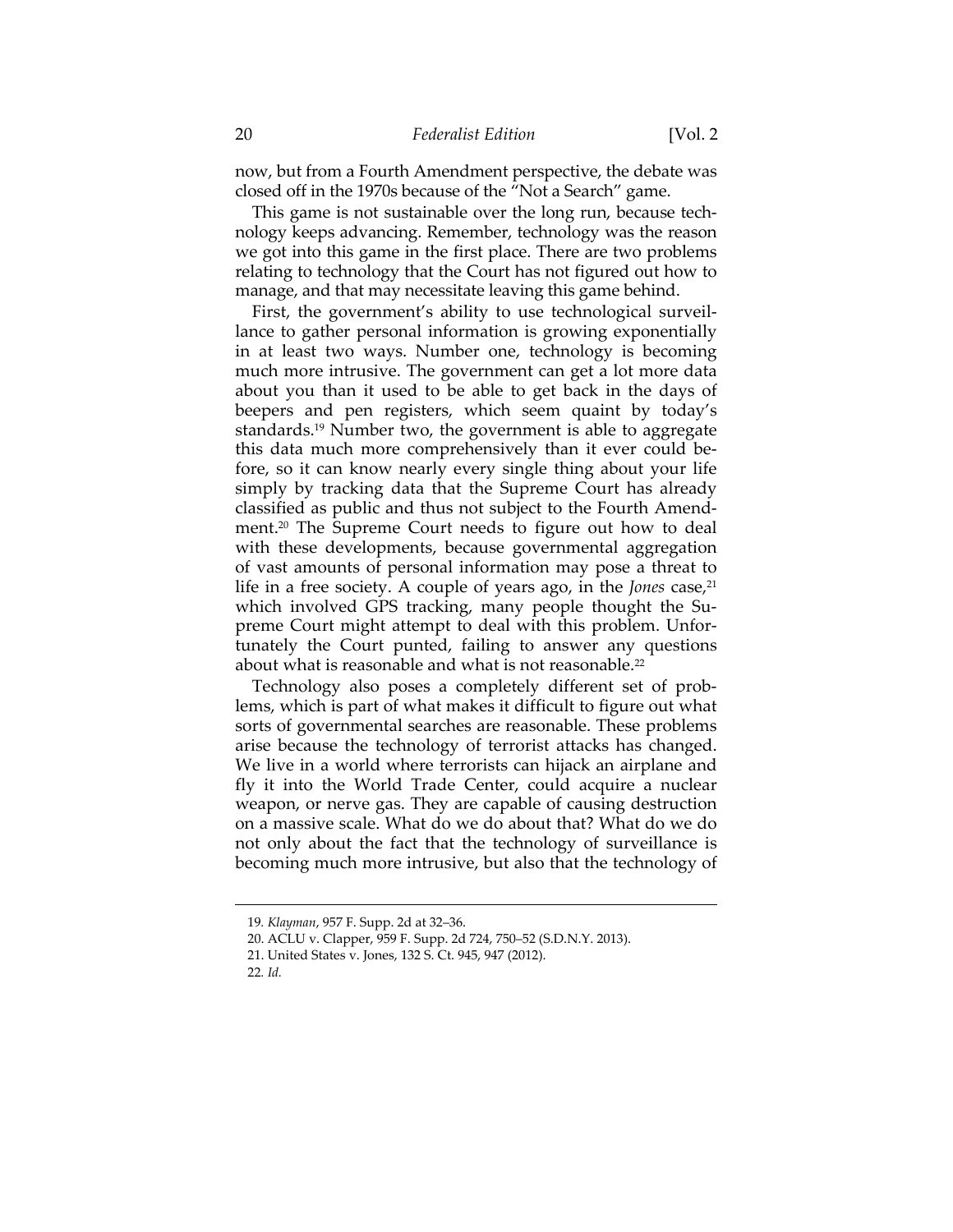now, but from a Fourth Amendment perspective, the debate was closed off in the 1970s because of the "Not a Search" game.

This game is not sustainable over the long run, because technology keeps advancing. Remember, technology was the reason we got into this game in the first place. There are two problems relating to technology that the Court has not figured out how to manage, and that may necessitate leaving this game behind.

First, the government's ability to use technological surveillance to gather personal information is growing exponentially in at least two ways. Number one, technology is becoming much more intrusive. The government can get a lot more data about you than it used to be able to get back in the days of beepers and pen registers, which seem quaint by today's standards.19 Number two, the government is able to aggregate this data much more comprehensively than it ever could before, so it can know nearly every single thing about your life simply by tracking data that the Supreme Court has already classified as public and thus not subject to the Fourth Amendment.20 The Supreme Court needs to figure out how to deal with these developments, because governmental aggregation of vast amounts of personal information may pose a threat to life in a free society. A couple of years ago, in the *Jones* case,<sup>21</sup> which involved GPS tracking, many people thought the Supreme Court might attempt to deal with this problem. Unfortunately the Court punted, failing to answer any questions about what is reasonable and what is not reasonable.<sup>22</sup>

Technology also poses a completely different set of problems, which is part of what makes it difficult to figure out what sorts of governmental searches are reasonable. These problems arise because the technology of terrorist attacks has changed. We live in a world where terrorists can hijack an airplane and fly it into the World Trade Center, could acquire a nuclear weapon, or nerve gas. They are capable of causing destruction on a massive scale. What do we do about that? What do we do not only about the fact that the technology of surveillance is becoming much more intrusive, but also that the technology of

<sup>19</sup>*. Klayman*, 957 F. Supp. 2d at 32–36.

 <sup>20.</sup> ACLU v. Clapper, 959 F. Supp. 2d 724, 750–52 (S.D.N.Y. 2013).

 <sup>21.</sup> United States v. Jones, 132 S. Ct. 945, 947 (2012).

<sup>22</sup>*. Id.*